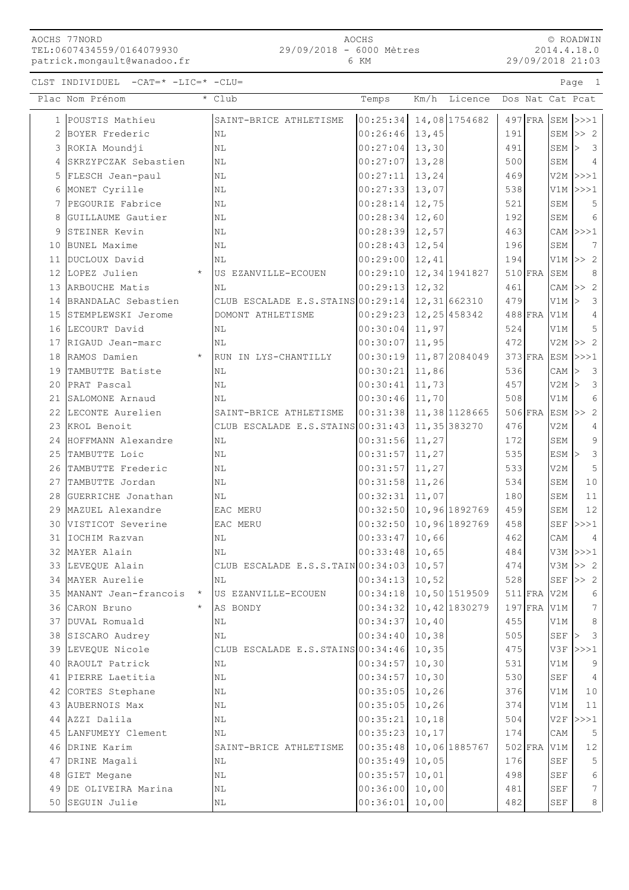AOCHS 77NORD TEL:0607434559/0164079930 patrick.mongault@wanadoo.fr

CLST INDIVIDUEL -CAT=\* -LIC=\* -CLU= Page 1

© ROADWIN 2014.4.18.0 29/09/2018 21:03

|    | Plac Nom Prénom           |         | * Club                                             | Temps                      | Km/h  | Licence |               |               |              | Dos Nat Cat Pcat        |  |
|----|---------------------------|---------|----------------------------------------------------|----------------------------|-------|---------|---------------|---------------|--------------|-------------------------|--|
| 1  | POUSTIS Mathieu           |         | SAINT-BRICE ATHLETISME                             | $ 00:25:34 $ 14,08 1754682 |       |         |               | $497$ FRA     |              | $SEM$ >>>1              |  |
| 2  | BOYER Frederic            |         | NL                                                 | $00:26:46$ 13,45           |       |         | 191           |               |              | SEM $>> 2$              |  |
|    | 3 ROKIA Moundji           |         | N <sub>L</sub>                                     | $00:27:04$ 13,30           |       |         | 491           |               | $SEM$ $\geq$ | $\overline{\mathbf{3}}$ |  |
| 4  | SKRZYPCZAK Sebastien      |         | N <sub>L</sub>                                     | $00:27:07$ 13,28           |       |         | 500           |               | SEM          | $\overline{4}$          |  |
| 5  | FLESCH Jean-paul          |         | N <sub>L</sub>                                     | $00:27:11$ 13, 24          |       |         | 469           |               |              | $V2M$ $>>$ 1            |  |
| 6  | MONET Cyrille             |         | N <sub>L</sub>                                     | $00:27:33$ 13,07           |       |         | 538           |               |              | $V1M$ $>>$ 1            |  |
| 7  | PEGOURIE Fabrice          |         | N <sub>L</sub>                                     | $00:28:14$ 12,75           |       |         | 521           |               | SEM          | 5                       |  |
| 8  | GUILLAUME Gautier         |         | N <sub>L</sub>                                     | $00:28:34$ 12,60           |       |         | 192           |               | SEM          | 6                       |  |
| 9  | STEINER Kevin             |         | ΝL                                                 | $00:28:39$ 12,57           |       |         | 463           |               |              | $CAM \n  >> 1$          |  |
| 10 | BUNEL Maxime              |         | NL                                                 | $00:28:43$ 12,54           |       |         | 196           |               | SEM          | 7                       |  |
| 11 | DUCLOUX David             |         | NL                                                 | $00:29:00$ 12,41           |       |         | 194           |               |              | V1M $>> 2$              |  |
| 12 | LOPEZ Julien              | $\star$ | US EZANVILLE-ECOUEN                                | $00:29:10$ 12, 34 1941827  |       |         |               | $510$ FRA     | SEM          | 8                       |  |
|    | 13 ARBOUCHE Matis         |         | N <sub>L</sub>                                     | 00:29:13 12,32             |       |         | 461           |               |              | CAM $\vert >> 2 \vert$  |  |
|    | 14 BRANDALAC Sebastien    |         | CLUB ESCALADE E.S.STAINS 00:29:14 12, 31 662310    |                            |       |         | 479           |               | $V1M$ >      | 3                       |  |
|    | 15 STEMPLEWSKI Jerome     |         | DOMONT ATHLETISME                                  | $00:29:23$ 12, 25 458342   |       |         |               | 488 FRA V1M   |              | 4                       |  |
|    | 16 LECOURT David          |         | N <sub>L</sub>                                     | $00:30:04$ 11,97           |       |         | 524           |               | V1M          | 5                       |  |
| 17 | RIGAUD Jean-marc          |         | <b>NL</b>                                          | 00:30:07                   | 11,95 |         | 472           |               |              | $V2M \geq 2$            |  |
|    | 18 RAMOS Damien           | $\star$ | RUN IN LYS-CHANTILLY                               | 00:30:19 11,87 2084049     |       |         |               | $373$ FRA     |              | $ESM$ $>>$ 1            |  |
| 19 | TAMBUTTE Batiste          |         | ΝL                                                 | 00:30:21                   | 11,86 |         | 536           |               | CAM          | $\overline{\mathbf{3}}$ |  |
| 20 | PRAT Pascal               |         | ΝL                                                 | 00:30:41                   | 11,73 |         | 457           |               | $V2M$ >      | $\overline{\mathbf{3}}$ |  |
| 21 | SALOMONE Arnaud           |         | NL                                                 | $00:30:46$ 11,70           |       |         | 508           |               | V1M          | 6                       |  |
| 22 | LECONTE Aurelien          |         | SAINT-BRICE ATHLETISME                             | 00:31:38 11,38 1128665     |       |         |               | $506$ FRA     |              | $ESM$ >> 2              |  |
|    | 23 KROL Benoit            |         | CLUB ESCALADE E.S. STAINS $00:31:43$ 11, 35 383270 |                            |       |         | 476           |               | V2M          | 4                       |  |
|    | 24 HOFFMANN Alexandre     |         | ΝL                                                 | $00:31:56$ 11,27           |       |         | 172           |               | SEM          | 9                       |  |
|    | 25 TAMBUTTE Loic          |         | ΝL                                                 | $00:31:57$ 11, 27          |       |         | 535           |               | $ESM$ >      | $\mathcal{S}$           |  |
|    | 26 TAMBUTTE Frederic      |         | NL                                                 | $00:31:57$ 11, 27          |       |         | 533           |               | V2M          | 5                       |  |
| 27 | TAMBUTTE Jordan           |         | N <sub>L</sub>                                     | 00:31:58                   | 11,26 |         | 534           |               | SEM          | 10                      |  |
|    | 28 GUERRICHE Jonathan     |         | N <sub>L</sub>                                     | 00:32:31                   | 11,07 |         | 180           |               | SEM          | 11                      |  |
|    | 29 MAZUEL Alexandre       |         | EAC MERU                                           | $00:32:50$ 10,96 1892769   |       |         | 459           |               | SEM          | 12                      |  |
| 30 | VISTICOT Severine         |         | EAC MERU                                           | $00:32:50$ 10,96 1892769   |       |         | 458           |               | SEF          | >>>1                    |  |
| 31 | IOCHIM Razvan             |         | NL.                                                | 00:33:47                   | 10,66 |         | 462           |               | CAM          | $\overline{4}$          |  |
|    | 32 MAYER Alain            |         | <b>NL</b>                                          | $00:33:48$ 10,65           |       |         | 484           |               |              | $V3M$ $>>$ 1            |  |
|    | 33 LEVEQUE Alain          |         | CLUB ESCALADE E.S.S.TAIN 00:34:03 10,57            |                            |       |         | 474           |               |              | $V3M \gg 2$             |  |
|    | 34 MAYER Aurelie          |         | NL                                                 | $00:34:13$ 10,52           |       |         | 528           |               |              | SEF $>> 2$              |  |
|    | 35 MANANT Jean-francois * |         | US EZANVILLE-ECOUEN                                | $00:34:18$ 10,50 1519509   |       |         |               | 511 FRA V2M   |              | 6                       |  |
|    | 36 CARON Bruno            | $\star$ | AS BONDY                                           | $00:34:32$ 10, 42 1830279  |       |         |               | $197$ FRA V1M |              | $7\phantom{.0}$         |  |
|    | 37 DUVAL Romuald          |         | NL                                                 | $00:34:37$ 10,40           |       |         | 455           |               | V1M          | $\,8\,$                 |  |
|    | 38 SISCARO Audrey         |         | NL                                                 | $00:34:40$ 10,38           |       |         | 505           |               | $SEF$ >      | $\mathcal{S}$           |  |
|    | 39 LEVEQUE Nicole         |         | CLUB ESCALADE E.S. STAINS $00:34:46$ 10, 35        |                            |       |         | 475           |               |              | $V3F$ $>>1$             |  |
|    | 40 RAOULT Patrick         |         | ΝL                                                 | $00:34:57$ 10,30           |       |         | 531           |               | V1M          | 9                       |  |
|    | 41 PIERRE Laetitia        |         | $\rm NL$                                           | $00:34:57$ 10,30           |       |         | 530           |               | SEF          | $\overline{4}$          |  |
|    | 42 CORTES Stephane        |         | NL                                                 | $00:35:05$ 10,26           |       |         | 376           |               | V1M          | 10                      |  |
|    | 43 AUBERNOIS Max          |         | NL                                                 | $00:35:05$ 10,26           |       |         | 374           |               | V1M          | 11                      |  |
|    | 44 AZZI Dalila            |         | ΝL                                                 | $00:35:21$ 10,18           |       |         | 504           |               |              | $V2F$ $>>1$             |  |
|    | 45 LANFUMEYY Clement      |         | ΝL                                                 | $00:35:23$ 10,17           |       |         | 174           |               | CAM          | $5\overline{)}$         |  |
|    | 46 DRINE Karim            |         | SAINT-BRICE ATHLETISME                             | 00:35:48 10,06 1885767     |       |         | $502$ FRA V1M |               |              | 12                      |  |

47 DRINE Magali  $\vert$ NL  $\vert$  10.05 10,05 176 SEF 5 48 GIET Megane NL NL 100:35:57 10,01 498 SEF 6 49 DE OLIVEIRA Marina (NL 100:36:00 10,00 481 SEF 7 50 SEGUIN Julie 100:36:01 10,00 482 SEF 8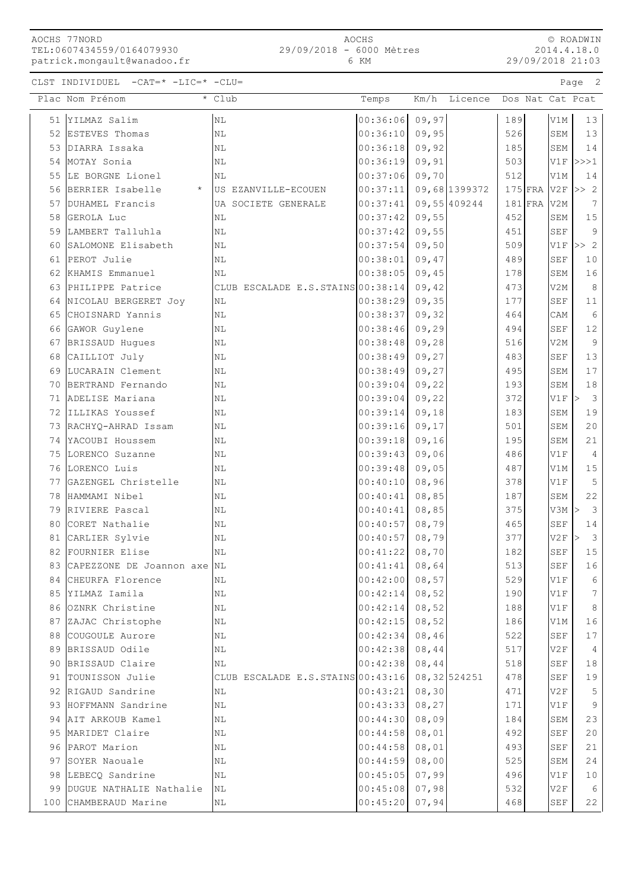AOCHS 77NORD TEL:0607434559/0164079930 patrick.mongault@wanadoo.fr

2014.4.18.0 29/09/2018 21:03

| Plac Nom Prénom<br>Km/h Licence<br>Dos Nat Cat Pcat<br>* Club<br>Temps<br>00:36:06<br>09,97<br>YILMAZ Salim<br>N <sub>L</sub><br>189<br>13<br>V1M<br>51<br>ESTEVES Thomas<br>00:36:10<br>09,95<br>526<br>SEM<br>13<br>NL<br>52<br>00:36:18<br>09,92<br>185<br>SEM<br>14<br>DIARRA Issaka<br>NL<br>53<br>MOTAY Sonia<br>00:36:19<br>09,91<br>503<br>$V1F$ $>>$ $1$<br>54<br>ΝL<br>LE BORGNE Lionel<br>00:37:06<br>512<br>09,70<br>V1M<br>14<br>55<br>ΝL<br>BERRIER Isabelle<br>00:37:11<br>$175$ FRA<br>V2F<br>>> 2<br>09,68 1399372<br>$\star$<br>US EZANVILLE-ECOUEN<br>56<br>DUHAMEL Francis<br>00:37:41<br>09,55 409244<br>$181$ FRA<br>57<br>UA SOCIETE GENERALE<br>V2M<br>7<br>15<br>00:37:42<br>09,55<br>452<br>GEROLA Luc<br>NL<br>SEM<br>58<br>00:37:42<br>09,55<br>451<br>9<br>59<br>LAMBERT Talluhla<br><b>SEF</b><br>ΝL<br>509<br>SALOMONE Elisabeth<br>00:37:54<br>09,50<br>>> 2<br>NL<br>V1F<br>60<br>PEROT Julie<br>$\rm NL$<br>00:38:01<br>09,47<br>489<br>SEF<br>10<br>61<br>16<br>KHAMIS Emmanuel<br>00:38:05<br>09,45<br>178<br>SEM<br>NL<br>62<br>8<br>PHILIPPE Patrice<br>CLUB ESCALADE E.S.STAINS 00:38:14<br>473<br>V2M<br>09,42<br>63<br>177<br>NICOLAU BERGERET JOY<br>00:38:29<br>09, 35<br><b>SEF</b><br>11<br>ΝL<br>64<br>CHOISNARD Yannis<br>00:38:37<br>464<br>6<br>NL<br>09, 32<br>CAM<br>65<br>$12$<br>$\rm NL$<br>00:38:46<br>09, 29<br>494<br>SEF<br>GAWOR Guylene<br>66<br>$\overline{9}$<br>00:38:48<br>09,28<br>516<br>V2M<br>BRISSAUD Hugues<br>NL<br>67<br>00:38:49<br>09, 27<br>483<br><b>SEF</b><br>13<br>CAILLIOT July<br>NL<br>68<br>495<br>17<br>LUCARAIN Clement<br>00:38:49<br>09, 27<br>SEM<br>69<br>ΝL<br>00:39:04<br>09,22<br>193<br>SEM<br>18<br>BERTRAND Fernando<br>NL<br>70<br>00:39:04<br>372<br>$\overline{\mathbf{3}}$<br>ADELISE Mariana<br>N <sub>L</sub><br>09,22<br>$V1F$ ><br>71<br>00:39:14<br>09,18<br>183<br>19<br>ILLIKAS Youssef<br>NL<br>SEM<br>72<br>00:39:16<br>09, 17<br>501<br>SEM<br>20<br>NL<br>73<br>RACHYQ-AHRAD Issam<br>09, 16<br>195<br>21<br>YACOUBI Houssem<br>00:39:18<br>SEM<br>74<br>ΝL<br>486<br>$\overline{4}$<br>75<br>LORENCO Suzanne<br>00:39:43<br>09,06<br>V1F<br>ΝL<br>487<br>15<br>LORENCO Luis<br>N <sub>L</sub><br>00:39:48<br>09,05<br>V1M<br>76<br>00:40:10<br>08,96<br>378<br>5<br>GAZENGEL Christelle<br>NL<br>V1F<br>77<br>HAMMAMI Nibel<br>00:40:41<br>187<br>22<br>NL<br>08,85<br>SEM<br>78<br>08,85<br>375<br>$\overline{\mathbf{3}}$<br>RIVIERE Pascal<br>NL<br>00:40:41<br>V3M<br>79<br>$\geq$<br>CORET Nathalie<br>00:40:57<br>08,79<br>465<br>14<br>N <sub>L</sub><br><b>SEF</b><br>80<br>377<br>$\overline{\mathbf{3}}$<br>CARLIER Sylvie<br>00:40:57<br>08,79<br>V2F<br>81<br>N <sub>L</sub><br>⊳<br>00:41:22<br>08,70<br>182<br>15<br>FOURNIER Elise<br>ΝL<br>SEF<br>82<br>00:41:41<br>08,64<br>513<br>16<br>CAPEZZONE DE Joannon axe NL<br>SEF<br>83<br>529<br>84 CHEURFA Florence<br>00:42:00<br>08,57<br>V1F<br>6<br>ΝL<br>190<br>$7\phantom{.0}$<br>85 YILMAZ Iamila<br>00:42:14<br>08,52<br>V1F<br>NL<br>OZNRK Christine<br>188<br>8<br>$\mathbb{N}\mathbb{L}$<br>00:42:14<br>08,52<br>V1F<br>86<br>00:42:15<br>ZAJAC Christophe<br>08,52<br>186<br>16<br>87<br>ΝL<br>V1M<br>00:42:34<br>522<br>COUGOULE Aurore<br>08,46<br>SEF<br>17<br>88<br>ΝL<br>BRISSAUD Odile<br>00:42:38<br>08,44<br>517<br>$\overline{4}$<br>89<br>ΝL<br>V2F<br>BRISSAUD Claire<br>00:42:38<br>08,44<br>518<br>18<br>90<br>ΝL<br>SEF<br>TOUNISSON Julie<br>CLUB ESCALADE E.S.STAINS 00:43:16<br>08,32 524251<br>478<br>SEF<br>19<br>91<br>RIGAUD Sandrine<br>00:43:21<br>08, 30<br>471<br>V2F<br>5<br>92<br>ΝL<br>HOFFMANN Sandrine<br>00:43:33<br>08, 27<br>171<br>9<br>93<br>NL<br>V1F<br>23<br>00:44:30<br>08,09<br>184<br>94 AIT ARKOUB Kamel<br>ΝL<br>SEM<br>492<br>95 MARIDET Claire<br>00:44:58<br>08,01<br>$\operatorname{SEF}$<br>20<br>ΝL<br>493<br>PAROT Marion<br>00:44:58<br>08,01<br>$\operatorname{SEF}$<br>21<br>96<br>ΝL<br>00:44:59<br>525<br>SOYER Naouale<br>08,00<br>SEM<br>24<br>97<br>ΝL<br>00:45:05<br>LEBECQ Sandrine<br>07,99<br>496<br>V1F<br>10<br>98<br>NL<br>532<br>DUGUE NATHALIE Nathalie<br>00:45:08<br>07,98<br>V2F<br>6<br>99<br>NL<br>00:45:20<br>07,94<br>22<br>CHAMBERAUD Marine<br>468<br>100<br>$\rm NL$<br>SEF | CLST INDIVIDUEL -CAT=* -LIC=* -CLU= |  |  |  | Page 2 |
|--------------------------------------------------------------------------------------------------------------------------------------------------------------------------------------------------------------------------------------------------------------------------------------------------------------------------------------------------------------------------------------------------------------------------------------------------------------------------------------------------------------------------------------------------------------------------------------------------------------------------------------------------------------------------------------------------------------------------------------------------------------------------------------------------------------------------------------------------------------------------------------------------------------------------------------------------------------------------------------------------------------------------------------------------------------------------------------------------------------------------------------------------------------------------------------------------------------------------------------------------------------------------------------------------------------------------------------------------------------------------------------------------------------------------------------------------------------------------------------------------------------------------------------------------------------------------------------------------------------------------------------------------------------------------------------------------------------------------------------------------------------------------------------------------------------------------------------------------------------------------------------------------------------------------------------------------------------------------------------------------------------------------------------------------------------------------------------------------------------------------------------------------------------------------------------------------------------------------------------------------------------------------------------------------------------------------------------------------------------------------------------------------------------------------------------------------------------------------------------------------------------------------------------------------------------------------------------------------------------------------------------------------------------------------------------------------------------------------------------------------------------------------------------------------------------------------------------------------------------------------------------------------------------------------------------------------------------------------------------------------------------------------------------------------------------------------------------------------------------------------------------------------------------------------------------------------------------------------------------------------------------------------------------------------------------------------------------------------------------------------------------------------------------------------------------------------------------------------------------------------------------------------------------------------------------------------------------------------------------------------------------------------------------------------------------------------------------------------------------------------------------------------------------------------------------------------------------------------------------------------------------------------------------------------------------------------------------------------------------------------------------------------------------------------------------------------------------------------------------------------------------------------------------------------------------------------------------------------------------------------|-------------------------------------|--|--|--|--------|
|                                                                                                                                                                                                                                                                                                                                                                                                                                                                                                                                                                                                                                                                                                                                                                                                                                                                                                                                                                                                                                                                                                                                                                                                                                                                                                                                                                                                                                                                                                                                                                                                                                                                                                                                                                                                                                                                                                                                                                                                                                                                                                                                                                                                                                                                                                                                                                                                                                                                                                                                                                                                                                                                                                                                                                                                                                                                                                                                                                                                                                                                                                                                                                                                                                                                                                                                                                                                                                                                                                                                                                                                                                                                                                                                                                                                                                                                                                                                                                                                                                                                                                                                                                                                                                                  |                                     |  |  |  |        |
|                                                                                                                                                                                                                                                                                                                                                                                                                                                                                                                                                                                                                                                                                                                                                                                                                                                                                                                                                                                                                                                                                                                                                                                                                                                                                                                                                                                                                                                                                                                                                                                                                                                                                                                                                                                                                                                                                                                                                                                                                                                                                                                                                                                                                                                                                                                                                                                                                                                                                                                                                                                                                                                                                                                                                                                                                                                                                                                                                                                                                                                                                                                                                                                                                                                                                                                                                                                                                                                                                                                                                                                                                                                                                                                                                                                                                                                                                                                                                                                                                                                                                                                                                                                                                                                  |                                     |  |  |  |        |
|                                                                                                                                                                                                                                                                                                                                                                                                                                                                                                                                                                                                                                                                                                                                                                                                                                                                                                                                                                                                                                                                                                                                                                                                                                                                                                                                                                                                                                                                                                                                                                                                                                                                                                                                                                                                                                                                                                                                                                                                                                                                                                                                                                                                                                                                                                                                                                                                                                                                                                                                                                                                                                                                                                                                                                                                                                                                                                                                                                                                                                                                                                                                                                                                                                                                                                                                                                                                                                                                                                                                                                                                                                                                                                                                                                                                                                                                                                                                                                                                                                                                                                                                                                                                                                                  |                                     |  |  |  |        |
|                                                                                                                                                                                                                                                                                                                                                                                                                                                                                                                                                                                                                                                                                                                                                                                                                                                                                                                                                                                                                                                                                                                                                                                                                                                                                                                                                                                                                                                                                                                                                                                                                                                                                                                                                                                                                                                                                                                                                                                                                                                                                                                                                                                                                                                                                                                                                                                                                                                                                                                                                                                                                                                                                                                                                                                                                                                                                                                                                                                                                                                                                                                                                                                                                                                                                                                                                                                                                                                                                                                                                                                                                                                                                                                                                                                                                                                                                                                                                                                                                                                                                                                                                                                                                                                  |                                     |  |  |  |        |
|                                                                                                                                                                                                                                                                                                                                                                                                                                                                                                                                                                                                                                                                                                                                                                                                                                                                                                                                                                                                                                                                                                                                                                                                                                                                                                                                                                                                                                                                                                                                                                                                                                                                                                                                                                                                                                                                                                                                                                                                                                                                                                                                                                                                                                                                                                                                                                                                                                                                                                                                                                                                                                                                                                                                                                                                                                                                                                                                                                                                                                                                                                                                                                                                                                                                                                                                                                                                                                                                                                                                                                                                                                                                                                                                                                                                                                                                                                                                                                                                                                                                                                                                                                                                                                                  |                                     |  |  |  |        |
|                                                                                                                                                                                                                                                                                                                                                                                                                                                                                                                                                                                                                                                                                                                                                                                                                                                                                                                                                                                                                                                                                                                                                                                                                                                                                                                                                                                                                                                                                                                                                                                                                                                                                                                                                                                                                                                                                                                                                                                                                                                                                                                                                                                                                                                                                                                                                                                                                                                                                                                                                                                                                                                                                                                                                                                                                                                                                                                                                                                                                                                                                                                                                                                                                                                                                                                                                                                                                                                                                                                                                                                                                                                                                                                                                                                                                                                                                                                                                                                                                                                                                                                                                                                                                                                  |                                     |  |  |  |        |
|                                                                                                                                                                                                                                                                                                                                                                                                                                                                                                                                                                                                                                                                                                                                                                                                                                                                                                                                                                                                                                                                                                                                                                                                                                                                                                                                                                                                                                                                                                                                                                                                                                                                                                                                                                                                                                                                                                                                                                                                                                                                                                                                                                                                                                                                                                                                                                                                                                                                                                                                                                                                                                                                                                                                                                                                                                                                                                                                                                                                                                                                                                                                                                                                                                                                                                                                                                                                                                                                                                                                                                                                                                                                                                                                                                                                                                                                                                                                                                                                                                                                                                                                                                                                                                                  |                                     |  |  |  |        |
|                                                                                                                                                                                                                                                                                                                                                                                                                                                                                                                                                                                                                                                                                                                                                                                                                                                                                                                                                                                                                                                                                                                                                                                                                                                                                                                                                                                                                                                                                                                                                                                                                                                                                                                                                                                                                                                                                                                                                                                                                                                                                                                                                                                                                                                                                                                                                                                                                                                                                                                                                                                                                                                                                                                                                                                                                                                                                                                                                                                                                                                                                                                                                                                                                                                                                                                                                                                                                                                                                                                                                                                                                                                                                                                                                                                                                                                                                                                                                                                                                                                                                                                                                                                                                                                  |                                     |  |  |  |        |
|                                                                                                                                                                                                                                                                                                                                                                                                                                                                                                                                                                                                                                                                                                                                                                                                                                                                                                                                                                                                                                                                                                                                                                                                                                                                                                                                                                                                                                                                                                                                                                                                                                                                                                                                                                                                                                                                                                                                                                                                                                                                                                                                                                                                                                                                                                                                                                                                                                                                                                                                                                                                                                                                                                                                                                                                                                                                                                                                                                                                                                                                                                                                                                                                                                                                                                                                                                                                                                                                                                                                                                                                                                                                                                                                                                                                                                                                                                                                                                                                                                                                                                                                                                                                                                                  |                                     |  |  |  |        |
|                                                                                                                                                                                                                                                                                                                                                                                                                                                                                                                                                                                                                                                                                                                                                                                                                                                                                                                                                                                                                                                                                                                                                                                                                                                                                                                                                                                                                                                                                                                                                                                                                                                                                                                                                                                                                                                                                                                                                                                                                                                                                                                                                                                                                                                                                                                                                                                                                                                                                                                                                                                                                                                                                                                                                                                                                                                                                                                                                                                                                                                                                                                                                                                                                                                                                                                                                                                                                                                                                                                                                                                                                                                                                                                                                                                                                                                                                                                                                                                                                                                                                                                                                                                                                                                  |                                     |  |  |  |        |
|                                                                                                                                                                                                                                                                                                                                                                                                                                                                                                                                                                                                                                                                                                                                                                                                                                                                                                                                                                                                                                                                                                                                                                                                                                                                                                                                                                                                                                                                                                                                                                                                                                                                                                                                                                                                                                                                                                                                                                                                                                                                                                                                                                                                                                                                                                                                                                                                                                                                                                                                                                                                                                                                                                                                                                                                                                                                                                                                                                                                                                                                                                                                                                                                                                                                                                                                                                                                                                                                                                                                                                                                                                                                                                                                                                                                                                                                                                                                                                                                                                                                                                                                                                                                                                                  |                                     |  |  |  |        |
|                                                                                                                                                                                                                                                                                                                                                                                                                                                                                                                                                                                                                                                                                                                                                                                                                                                                                                                                                                                                                                                                                                                                                                                                                                                                                                                                                                                                                                                                                                                                                                                                                                                                                                                                                                                                                                                                                                                                                                                                                                                                                                                                                                                                                                                                                                                                                                                                                                                                                                                                                                                                                                                                                                                                                                                                                                                                                                                                                                                                                                                                                                                                                                                                                                                                                                                                                                                                                                                                                                                                                                                                                                                                                                                                                                                                                                                                                                                                                                                                                                                                                                                                                                                                                                                  |                                     |  |  |  |        |
|                                                                                                                                                                                                                                                                                                                                                                                                                                                                                                                                                                                                                                                                                                                                                                                                                                                                                                                                                                                                                                                                                                                                                                                                                                                                                                                                                                                                                                                                                                                                                                                                                                                                                                                                                                                                                                                                                                                                                                                                                                                                                                                                                                                                                                                                                                                                                                                                                                                                                                                                                                                                                                                                                                                                                                                                                                                                                                                                                                                                                                                                                                                                                                                                                                                                                                                                                                                                                                                                                                                                                                                                                                                                                                                                                                                                                                                                                                                                                                                                                                                                                                                                                                                                                                                  |                                     |  |  |  |        |
|                                                                                                                                                                                                                                                                                                                                                                                                                                                                                                                                                                                                                                                                                                                                                                                                                                                                                                                                                                                                                                                                                                                                                                                                                                                                                                                                                                                                                                                                                                                                                                                                                                                                                                                                                                                                                                                                                                                                                                                                                                                                                                                                                                                                                                                                                                                                                                                                                                                                                                                                                                                                                                                                                                                                                                                                                                                                                                                                                                                                                                                                                                                                                                                                                                                                                                                                                                                                                                                                                                                                                                                                                                                                                                                                                                                                                                                                                                                                                                                                                                                                                                                                                                                                                                                  |                                     |  |  |  |        |
|                                                                                                                                                                                                                                                                                                                                                                                                                                                                                                                                                                                                                                                                                                                                                                                                                                                                                                                                                                                                                                                                                                                                                                                                                                                                                                                                                                                                                                                                                                                                                                                                                                                                                                                                                                                                                                                                                                                                                                                                                                                                                                                                                                                                                                                                                                                                                                                                                                                                                                                                                                                                                                                                                                                                                                                                                                                                                                                                                                                                                                                                                                                                                                                                                                                                                                                                                                                                                                                                                                                                                                                                                                                                                                                                                                                                                                                                                                                                                                                                                                                                                                                                                                                                                                                  |                                     |  |  |  |        |
|                                                                                                                                                                                                                                                                                                                                                                                                                                                                                                                                                                                                                                                                                                                                                                                                                                                                                                                                                                                                                                                                                                                                                                                                                                                                                                                                                                                                                                                                                                                                                                                                                                                                                                                                                                                                                                                                                                                                                                                                                                                                                                                                                                                                                                                                                                                                                                                                                                                                                                                                                                                                                                                                                                                                                                                                                                                                                                                                                                                                                                                                                                                                                                                                                                                                                                                                                                                                                                                                                                                                                                                                                                                                                                                                                                                                                                                                                                                                                                                                                                                                                                                                                                                                                                                  |                                     |  |  |  |        |
|                                                                                                                                                                                                                                                                                                                                                                                                                                                                                                                                                                                                                                                                                                                                                                                                                                                                                                                                                                                                                                                                                                                                                                                                                                                                                                                                                                                                                                                                                                                                                                                                                                                                                                                                                                                                                                                                                                                                                                                                                                                                                                                                                                                                                                                                                                                                                                                                                                                                                                                                                                                                                                                                                                                                                                                                                                                                                                                                                                                                                                                                                                                                                                                                                                                                                                                                                                                                                                                                                                                                                                                                                                                                                                                                                                                                                                                                                                                                                                                                                                                                                                                                                                                                                                                  |                                     |  |  |  |        |
|                                                                                                                                                                                                                                                                                                                                                                                                                                                                                                                                                                                                                                                                                                                                                                                                                                                                                                                                                                                                                                                                                                                                                                                                                                                                                                                                                                                                                                                                                                                                                                                                                                                                                                                                                                                                                                                                                                                                                                                                                                                                                                                                                                                                                                                                                                                                                                                                                                                                                                                                                                                                                                                                                                                                                                                                                                                                                                                                                                                                                                                                                                                                                                                                                                                                                                                                                                                                                                                                                                                                                                                                                                                                                                                                                                                                                                                                                                                                                                                                                                                                                                                                                                                                                                                  |                                     |  |  |  |        |
|                                                                                                                                                                                                                                                                                                                                                                                                                                                                                                                                                                                                                                                                                                                                                                                                                                                                                                                                                                                                                                                                                                                                                                                                                                                                                                                                                                                                                                                                                                                                                                                                                                                                                                                                                                                                                                                                                                                                                                                                                                                                                                                                                                                                                                                                                                                                                                                                                                                                                                                                                                                                                                                                                                                                                                                                                                                                                                                                                                                                                                                                                                                                                                                                                                                                                                                                                                                                                                                                                                                                                                                                                                                                                                                                                                                                                                                                                                                                                                                                                                                                                                                                                                                                                                                  |                                     |  |  |  |        |
|                                                                                                                                                                                                                                                                                                                                                                                                                                                                                                                                                                                                                                                                                                                                                                                                                                                                                                                                                                                                                                                                                                                                                                                                                                                                                                                                                                                                                                                                                                                                                                                                                                                                                                                                                                                                                                                                                                                                                                                                                                                                                                                                                                                                                                                                                                                                                                                                                                                                                                                                                                                                                                                                                                                                                                                                                                                                                                                                                                                                                                                                                                                                                                                                                                                                                                                                                                                                                                                                                                                                                                                                                                                                                                                                                                                                                                                                                                                                                                                                                                                                                                                                                                                                                                                  |                                     |  |  |  |        |
|                                                                                                                                                                                                                                                                                                                                                                                                                                                                                                                                                                                                                                                                                                                                                                                                                                                                                                                                                                                                                                                                                                                                                                                                                                                                                                                                                                                                                                                                                                                                                                                                                                                                                                                                                                                                                                                                                                                                                                                                                                                                                                                                                                                                                                                                                                                                                                                                                                                                                                                                                                                                                                                                                                                                                                                                                                                                                                                                                                                                                                                                                                                                                                                                                                                                                                                                                                                                                                                                                                                                                                                                                                                                                                                                                                                                                                                                                                                                                                                                                                                                                                                                                                                                                                                  |                                     |  |  |  |        |
|                                                                                                                                                                                                                                                                                                                                                                                                                                                                                                                                                                                                                                                                                                                                                                                                                                                                                                                                                                                                                                                                                                                                                                                                                                                                                                                                                                                                                                                                                                                                                                                                                                                                                                                                                                                                                                                                                                                                                                                                                                                                                                                                                                                                                                                                                                                                                                                                                                                                                                                                                                                                                                                                                                                                                                                                                                                                                                                                                                                                                                                                                                                                                                                                                                                                                                                                                                                                                                                                                                                                                                                                                                                                                                                                                                                                                                                                                                                                                                                                                                                                                                                                                                                                                                                  |                                     |  |  |  |        |
|                                                                                                                                                                                                                                                                                                                                                                                                                                                                                                                                                                                                                                                                                                                                                                                                                                                                                                                                                                                                                                                                                                                                                                                                                                                                                                                                                                                                                                                                                                                                                                                                                                                                                                                                                                                                                                                                                                                                                                                                                                                                                                                                                                                                                                                                                                                                                                                                                                                                                                                                                                                                                                                                                                                                                                                                                                                                                                                                                                                                                                                                                                                                                                                                                                                                                                                                                                                                                                                                                                                                                                                                                                                                                                                                                                                                                                                                                                                                                                                                                                                                                                                                                                                                                                                  |                                     |  |  |  |        |
|                                                                                                                                                                                                                                                                                                                                                                                                                                                                                                                                                                                                                                                                                                                                                                                                                                                                                                                                                                                                                                                                                                                                                                                                                                                                                                                                                                                                                                                                                                                                                                                                                                                                                                                                                                                                                                                                                                                                                                                                                                                                                                                                                                                                                                                                                                                                                                                                                                                                                                                                                                                                                                                                                                                                                                                                                                                                                                                                                                                                                                                                                                                                                                                                                                                                                                                                                                                                                                                                                                                                                                                                                                                                                                                                                                                                                                                                                                                                                                                                                                                                                                                                                                                                                                                  |                                     |  |  |  |        |
|                                                                                                                                                                                                                                                                                                                                                                                                                                                                                                                                                                                                                                                                                                                                                                                                                                                                                                                                                                                                                                                                                                                                                                                                                                                                                                                                                                                                                                                                                                                                                                                                                                                                                                                                                                                                                                                                                                                                                                                                                                                                                                                                                                                                                                                                                                                                                                                                                                                                                                                                                                                                                                                                                                                                                                                                                                                                                                                                                                                                                                                                                                                                                                                                                                                                                                                                                                                                                                                                                                                                                                                                                                                                                                                                                                                                                                                                                                                                                                                                                                                                                                                                                                                                                                                  |                                     |  |  |  |        |
|                                                                                                                                                                                                                                                                                                                                                                                                                                                                                                                                                                                                                                                                                                                                                                                                                                                                                                                                                                                                                                                                                                                                                                                                                                                                                                                                                                                                                                                                                                                                                                                                                                                                                                                                                                                                                                                                                                                                                                                                                                                                                                                                                                                                                                                                                                                                                                                                                                                                                                                                                                                                                                                                                                                                                                                                                                                                                                                                                                                                                                                                                                                                                                                                                                                                                                                                                                                                                                                                                                                                                                                                                                                                                                                                                                                                                                                                                                                                                                                                                                                                                                                                                                                                                                                  |                                     |  |  |  |        |
|                                                                                                                                                                                                                                                                                                                                                                                                                                                                                                                                                                                                                                                                                                                                                                                                                                                                                                                                                                                                                                                                                                                                                                                                                                                                                                                                                                                                                                                                                                                                                                                                                                                                                                                                                                                                                                                                                                                                                                                                                                                                                                                                                                                                                                                                                                                                                                                                                                                                                                                                                                                                                                                                                                                                                                                                                                                                                                                                                                                                                                                                                                                                                                                                                                                                                                                                                                                                                                                                                                                                                                                                                                                                                                                                                                                                                                                                                                                                                                                                                                                                                                                                                                                                                                                  |                                     |  |  |  |        |
|                                                                                                                                                                                                                                                                                                                                                                                                                                                                                                                                                                                                                                                                                                                                                                                                                                                                                                                                                                                                                                                                                                                                                                                                                                                                                                                                                                                                                                                                                                                                                                                                                                                                                                                                                                                                                                                                                                                                                                                                                                                                                                                                                                                                                                                                                                                                                                                                                                                                                                                                                                                                                                                                                                                                                                                                                                                                                                                                                                                                                                                                                                                                                                                                                                                                                                                                                                                                                                                                                                                                                                                                                                                                                                                                                                                                                                                                                                                                                                                                                                                                                                                                                                                                                                                  |                                     |  |  |  |        |
|                                                                                                                                                                                                                                                                                                                                                                                                                                                                                                                                                                                                                                                                                                                                                                                                                                                                                                                                                                                                                                                                                                                                                                                                                                                                                                                                                                                                                                                                                                                                                                                                                                                                                                                                                                                                                                                                                                                                                                                                                                                                                                                                                                                                                                                                                                                                                                                                                                                                                                                                                                                                                                                                                                                                                                                                                                                                                                                                                                                                                                                                                                                                                                                                                                                                                                                                                                                                                                                                                                                                                                                                                                                                                                                                                                                                                                                                                                                                                                                                                                                                                                                                                                                                                                                  |                                     |  |  |  |        |
|                                                                                                                                                                                                                                                                                                                                                                                                                                                                                                                                                                                                                                                                                                                                                                                                                                                                                                                                                                                                                                                                                                                                                                                                                                                                                                                                                                                                                                                                                                                                                                                                                                                                                                                                                                                                                                                                                                                                                                                                                                                                                                                                                                                                                                                                                                                                                                                                                                                                                                                                                                                                                                                                                                                                                                                                                                                                                                                                                                                                                                                                                                                                                                                                                                                                                                                                                                                                                                                                                                                                                                                                                                                                                                                                                                                                                                                                                                                                                                                                                                                                                                                                                                                                                                                  |                                     |  |  |  |        |
|                                                                                                                                                                                                                                                                                                                                                                                                                                                                                                                                                                                                                                                                                                                                                                                                                                                                                                                                                                                                                                                                                                                                                                                                                                                                                                                                                                                                                                                                                                                                                                                                                                                                                                                                                                                                                                                                                                                                                                                                                                                                                                                                                                                                                                                                                                                                                                                                                                                                                                                                                                                                                                                                                                                                                                                                                                                                                                                                                                                                                                                                                                                                                                                                                                                                                                                                                                                                                                                                                                                                                                                                                                                                                                                                                                                                                                                                                                                                                                                                                                                                                                                                                                                                                                                  |                                     |  |  |  |        |
|                                                                                                                                                                                                                                                                                                                                                                                                                                                                                                                                                                                                                                                                                                                                                                                                                                                                                                                                                                                                                                                                                                                                                                                                                                                                                                                                                                                                                                                                                                                                                                                                                                                                                                                                                                                                                                                                                                                                                                                                                                                                                                                                                                                                                                                                                                                                                                                                                                                                                                                                                                                                                                                                                                                                                                                                                                                                                                                                                                                                                                                                                                                                                                                                                                                                                                                                                                                                                                                                                                                                                                                                                                                                                                                                                                                                                                                                                                                                                                                                                                                                                                                                                                                                                                                  |                                     |  |  |  |        |
|                                                                                                                                                                                                                                                                                                                                                                                                                                                                                                                                                                                                                                                                                                                                                                                                                                                                                                                                                                                                                                                                                                                                                                                                                                                                                                                                                                                                                                                                                                                                                                                                                                                                                                                                                                                                                                                                                                                                                                                                                                                                                                                                                                                                                                                                                                                                                                                                                                                                                                                                                                                                                                                                                                                                                                                                                                                                                                                                                                                                                                                                                                                                                                                                                                                                                                                                                                                                                                                                                                                                                                                                                                                                                                                                                                                                                                                                                                                                                                                                                                                                                                                                                                                                                                                  |                                     |  |  |  |        |
|                                                                                                                                                                                                                                                                                                                                                                                                                                                                                                                                                                                                                                                                                                                                                                                                                                                                                                                                                                                                                                                                                                                                                                                                                                                                                                                                                                                                                                                                                                                                                                                                                                                                                                                                                                                                                                                                                                                                                                                                                                                                                                                                                                                                                                                                                                                                                                                                                                                                                                                                                                                                                                                                                                                                                                                                                                                                                                                                                                                                                                                                                                                                                                                                                                                                                                                                                                                                                                                                                                                                                                                                                                                                                                                                                                                                                                                                                                                                                                                                                                                                                                                                                                                                                                                  |                                     |  |  |  |        |
|                                                                                                                                                                                                                                                                                                                                                                                                                                                                                                                                                                                                                                                                                                                                                                                                                                                                                                                                                                                                                                                                                                                                                                                                                                                                                                                                                                                                                                                                                                                                                                                                                                                                                                                                                                                                                                                                                                                                                                                                                                                                                                                                                                                                                                                                                                                                                                                                                                                                                                                                                                                                                                                                                                                                                                                                                                                                                                                                                                                                                                                                                                                                                                                                                                                                                                                                                                                                                                                                                                                                                                                                                                                                                                                                                                                                                                                                                                                                                                                                                                                                                                                                                                                                                                                  |                                     |  |  |  |        |
|                                                                                                                                                                                                                                                                                                                                                                                                                                                                                                                                                                                                                                                                                                                                                                                                                                                                                                                                                                                                                                                                                                                                                                                                                                                                                                                                                                                                                                                                                                                                                                                                                                                                                                                                                                                                                                                                                                                                                                                                                                                                                                                                                                                                                                                                                                                                                                                                                                                                                                                                                                                                                                                                                                                                                                                                                                                                                                                                                                                                                                                                                                                                                                                                                                                                                                                                                                                                                                                                                                                                                                                                                                                                                                                                                                                                                                                                                                                                                                                                                                                                                                                                                                                                                                                  |                                     |  |  |  |        |
|                                                                                                                                                                                                                                                                                                                                                                                                                                                                                                                                                                                                                                                                                                                                                                                                                                                                                                                                                                                                                                                                                                                                                                                                                                                                                                                                                                                                                                                                                                                                                                                                                                                                                                                                                                                                                                                                                                                                                                                                                                                                                                                                                                                                                                                                                                                                                                                                                                                                                                                                                                                                                                                                                                                                                                                                                                                                                                                                                                                                                                                                                                                                                                                                                                                                                                                                                                                                                                                                                                                                                                                                                                                                                                                                                                                                                                                                                                                                                                                                                                                                                                                                                                                                                                                  |                                     |  |  |  |        |
|                                                                                                                                                                                                                                                                                                                                                                                                                                                                                                                                                                                                                                                                                                                                                                                                                                                                                                                                                                                                                                                                                                                                                                                                                                                                                                                                                                                                                                                                                                                                                                                                                                                                                                                                                                                                                                                                                                                                                                                                                                                                                                                                                                                                                                                                                                                                                                                                                                                                                                                                                                                                                                                                                                                                                                                                                                                                                                                                                                                                                                                                                                                                                                                                                                                                                                                                                                                                                                                                                                                                                                                                                                                                                                                                                                                                                                                                                                                                                                                                                                                                                                                                                                                                                                                  |                                     |  |  |  |        |
|                                                                                                                                                                                                                                                                                                                                                                                                                                                                                                                                                                                                                                                                                                                                                                                                                                                                                                                                                                                                                                                                                                                                                                                                                                                                                                                                                                                                                                                                                                                                                                                                                                                                                                                                                                                                                                                                                                                                                                                                                                                                                                                                                                                                                                                                                                                                                                                                                                                                                                                                                                                                                                                                                                                                                                                                                                                                                                                                                                                                                                                                                                                                                                                                                                                                                                                                                                                                                                                                                                                                                                                                                                                                                                                                                                                                                                                                                                                                                                                                                                                                                                                                                                                                                                                  |                                     |  |  |  |        |
|                                                                                                                                                                                                                                                                                                                                                                                                                                                                                                                                                                                                                                                                                                                                                                                                                                                                                                                                                                                                                                                                                                                                                                                                                                                                                                                                                                                                                                                                                                                                                                                                                                                                                                                                                                                                                                                                                                                                                                                                                                                                                                                                                                                                                                                                                                                                                                                                                                                                                                                                                                                                                                                                                                                                                                                                                                                                                                                                                                                                                                                                                                                                                                                                                                                                                                                                                                                                                                                                                                                                                                                                                                                                                                                                                                                                                                                                                                                                                                                                                                                                                                                                                                                                                                                  |                                     |  |  |  |        |
|                                                                                                                                                                                                                                                                                                                                                                                                                                                                                                                                                                                                                                                                                                                                                                                                                                                                                                                                                                                                                                                                                                                                                                                                                                                                                                                                                                                                                                                                                                                                                                                                                                                                                                                                                                                                                                                                                                                                                                                                                                                                                                                                                                                                                                                                                                                                                                                                                                                                                                                                                                                                                                                                                                                                                                                                                                                                                                                                                                                                                                                                                                                                                                                                                                                                                                                                                                                                                                                                                                                                                                                                                                                                                                                                                                                                                                                                                                                                                                                                                                                                                                                                                                                                                                                  |                                     |  |  |  |        |
|                                                                                                                                                                                                                                                                                                                                                                                                                                                                                                                                                                                                                                                                                                                                                                                                                                                                                                                                                                                                                                                                                                                                                                                                                                                                                                                                                                                                                                                                                                                                                                                                                                                                                                                                                                                                                                                                                                                                                                                                                                                                                                                                                                                                                                                                                                                                                                                                                                                                                                                                                                                                                                                                                                                                                                                                                                                                                                                                                                                                                                                                                                                                                                                                                                                                                                                                                                                                                                                                                                                                                                                                                                                                                                                                                                                                                                                                                                                                                                                                                                                                                                                                                                                                                                                  |                                     |  |  |  |        |
|                                                                                                                                                                                                                                                                                                                                                                                                                                                                                                                                                                                                                                                                                                                                                                                                                                                                                                                                                                                                                                                                                                                                                                                                                                                                                                                                                                                                                                                                                                                                                                                                                                                                                                                                                                                                                                                                                                                                                                                                                                                                                                                                                                                                                                                                                                                                                                                                                                                                                                                                                                                                                                                                                                                                                                                                                                                                                                                                                                                                                                                                                                                                                                                                                                                                                                                                                                                                                                                                                                                                                                                                                                                                                                                                                                                                                                                                                                                                                                                                                                                                                                                                                                                                                                                  |                                     |  |  |  |        |
|                                                                                                                                                                                                                                                                                                                                                                                                                                                                                                                                                                                                                                                                                                                                                                                                                                                                                                                                                                                                                                                                                                                                                                                                                                                                                                                                                                                                                                                                                                                                                                                                                                                                                                                                                                                                                                                                                                                                                                                                                                                                                                                                                                                                                                                                                                                                                                                                                                                                                                                                                                                                                                                                                                                                                                                                                                                                                                                                                                                                                                                                                                                                                                                                                                                                                                                                                                                                                                                                                                                                                                                                                                                                                                                                                                                                                                                                                                                                                                                                                                                                                                                                                                                                                                                  |                                     |  |  |  |        |
|                                                                                                                                                                                                                                                                                                                                                                                                                                                                                                                                                                                                                                                                                                                                                                                                                                                                                                                                                                                                                                                                                                                                                                                                                                                                                                                                                                                                                                                                                                                                                                                                                                                                                                                                                                                                                                                                                                                                                                                                                                                                                                                                                                                                                                                                                                                                                                                                                                                                                                                                                                                                                                                                                                                                                                                                                                                                                                                                                                                                                                                                                                                                                                                                                                                                                                                                                                                                                                                                                                                                                                                                                                                                                                                                                                                                                                                                                                                                                                                                                                                                                                                                                                                                                                                  |                                     |  |  |  |        |
|                                                                                                                                                                                                                                                                                                                                                                                                                                                                                                                                                                                                                                                                                                                                                                                                                                                                                                                                                                                                                                                                                                                                                                                                                                                                                                                                                                                                                                                                                                                                                                                                                                                                                                                                                                                                                                                                                                                                                                                                                                                                                                                                                                                                                                                                                                                                                                                                                                                                                                                                                                                                                                                                                                                                                                                                                                                                                                                                                                                                                                                                                                                                                                                                                                                                                                                                                                                                                                                                                                                                                                                                                                                                                                                                                                                                                                                                                                                                                                                                                                                                                                                                                                                                                                                  |                                     |  |  |  |        |
|                                                                                                                                                                                                                                                                                                                                                                                                                                                                                                                                                                                                                                                                                                                                                                                                                                                                                                                                                                                                                                                                                                                                                                                                                                                                                                                                                                                                                                                                                                                                                                                                                                                                                                                                                                                                                                                                                                                                                                                                                                                                                                                                                                                                                                                                                                                                                                                                                                                                                                                                                                                                                                                                                                                                                                                                                                                                                                                                                                                                                                                                                                                                                                                                                                                                                                                                                                                                                                                                                                                                                                                                                                                                                                                                                                                                                                                                                                                                                                                                                                                                                                                                                                                                                                                  |                                     |  |  |  |        |
|                                                                                                                                                                                                                                                                                                                                                                                                                                                                                                                                                                                                                                                                                                                                                                                                                                                                                                                                                                                                                                                                                                                                                                                                                                                                                                                                                                                                                                                                                                                                                                                                                                                                                                                                                                                                                                                                                                                                                                                                                                                                                                                                                                                                                                                                                                                                                                                                                                                                                                                                                                                                                                                                                                                                                                                                                                                                                                                                                                                                                                                                                                                                                                                                                                                                                                                                                                                                                                                                                                                                                                                                                                                                                                                                                                                                                                                                                                                                                                                                                                                                                                                                                                                                                                                  |                                     |  |  |  |        |
|                                                                                                                                                                                                                                                                                                                                                                                                                                                                                                                                                                                                                                                                                                                                                                                                                                                                                                                                                                                                                                                                                                                                                                                                                                                                                                                                                                                                                                                                                                                                                                                                                                                                                                                                                                                                                                                                                                                                                                                                                                                                                                                                                                                                                                                                                                                                                                                                                                                                                                                                                                                                                                                                                                                                                                                                                                                                                                                                                                                                                                                                                                                                                                                                                                                                                                                                                                                                                                                                                                                                                                                                                                                                                                                                                                                                                                                                                                                                                                                                                                                                                                                                                                                                                                                  |                                     |  |  |  |        |
|                                                                                                                                                                                                                                                                                                                                                                                                                                                                                                                                                                                                                                                                                                                                                                                                                                                                                                                                                                                                                                                                                                                                                                                                                                                                                                                                                                                                                                                                                                                                                                                                                                                                                                                                                                                                                                                                                                                                                                                                                                                                                                                                                                                                                                                                                                                                                                                                                                                                                                                                                                                                                                                                                                                                                                                                                                                                                                                                                                                                                                                                                                                                                                                                                                                                                                                                                                                                                                                                                                                                                                                                                                                                                                                                                                                                                                                                                                                                                                                                                                                                                                                                                                                                                                                  |                                     |  |  |  |        |
|                                                                                                                                                                                                                                                                                                                                                                                                                                                                                                                                                                                                                                                                                                                                                                                                                                                                                                                                                                                                                                                                                                                                                                                                                                                                                                                                                                                                                                                                                                                                                                                                                                                                                                                                                                                                                                                                                                                                                                                                                                                                                                                                                                                                                                                                                                                                                                                                                                                                                                                                                                                                                                                                                                                                                                                                                                                                                                                                                                                                                                                                                                                                                                                                                                                                                                                                                                                                                                                                                                                                                                                                                                                                                                                                                                                                                                                                                                                                                                                                                                                                                                                                                                                                                                                  |                                     |  |  |  |        |

© ROADWIN

6 KM